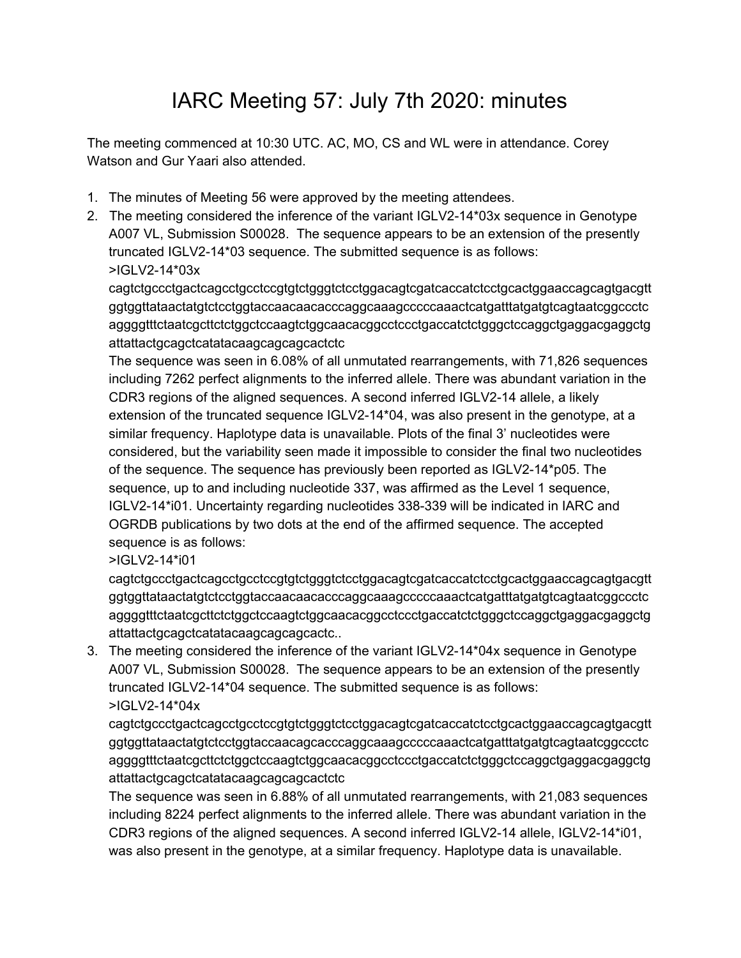## IARC Meeting 57: July 7th 2020: minutes

The meeting commenced at 10:30 UTC. AC, MO, CS and WL were in attendance. Corey Watson and Gur Yaari also attended.

- 1. The minutes of Meeting 56 were approved by the meeting attendees.
- 2. The meeting considered the inference of the variant IGLV2-14\*03x sequence in Genotype A007 VL, Submission S00028. The sequence appears to be an extension of the presently truncated IGLV2-14\*03 sequence. The submitted sequence is as follows: >IGLV2-14\*03x

cagtctgccctgactcagcctgcctccgtgtctgggtctcctggacagtcgatcaccatctcctgcactggaaccagcagtgacgtt ggtggttataactatgtctcctggtaccaacaacacccaggcaaagcccccaaactcatgatttatgatgtcagtaatcggccctc aggggtttctaatcgcttctctggctccaagtctggcaacacggcctccctgaccatctctgggctccaggctgaggacgaggctg attattactgcagctcatatacaagcagcagcactctc

The sequence was seen in 6.08% of all unmutated rearrangements, with 71,826 sequences including 7262 perfect alignments to the inferred allele. There was abundant variation in the CDR3 regions of the aligned sequences. A second inferred IGLV2-14 allele, a likely extension of the truncated sequence IGLV2-14\*04, was also present in the genotype, at a similar frequency. Haplotype data is unavailable. Plots of the final 3' nucleotides were considered, but the variability seen made it impossible to consider the final two nucleotides of the sequence. The sequence has previously been reported as IGLV2-14\*p05. The sequence, up to and including nucleotide 337, was affirmed as the Level 1 sequence, IGLV2-14\*i01. Uncertainty regarding nucleotides 338-339 will be indicated in IARC and OGRDB publications by two dots at the end of the affirmed sequence. The accepted sequence is as follows:

>IGLV2-14\*i01

cagtctgccctgactcagcctgcctccgtgtctgggtctcctggacagtcgatcaccatctcctgcactggaaccagcagtgacgtt ggtggttataactatgtctcctggtaccaacaacacccaggcaaagcccccaaactcatgatttatgatgtcagtaatcggccctc aggggtttctaatcgcttctctggctccaagtctggcaacacggcctccctgaccatctctgggctccaggctgaggacgaggctg attattactgcagctcatatacaagcagcagcactc..

3. The meeting considered the inference of the variant IGLV2-14\*04x sequence in Genotype A007 VL, Submission S00028. The sequence appears to be an extension of the presently truncated IGLV2-14\*04 sequence. The submitted sequence is as follows: >IGLV2-14\*04x

cagtctgccctgactcagcctgcctccgtgtctgggtctcctggacagtcgatcaccatctcctgcactggaaccagcagtgacgtt ggtggttataactatgtctcctggtaccaacagcacccaggcaaagcccccaaactcatgatttatgatgtcagtaatcggccctc aggggtttctaatcgcttctctggctccaagtctggcaacacggcctccctgaccatctctgggctccaggctgaggacgaggctg attattactgcagctcatatacaagcagcagcactctc

The sequence was seen in 6.88% of all unmutated rearrangements, with 21,083 sequences including 8224 perfect alignments to the inferred allele. There was abundant variation in the CDR3 regions of the aligned sequences. A second inferred IGLV2-14 allele, IGLV2-14\*i01, was also present in the genotype, at a similar frequency. Haplotype data is unavailable.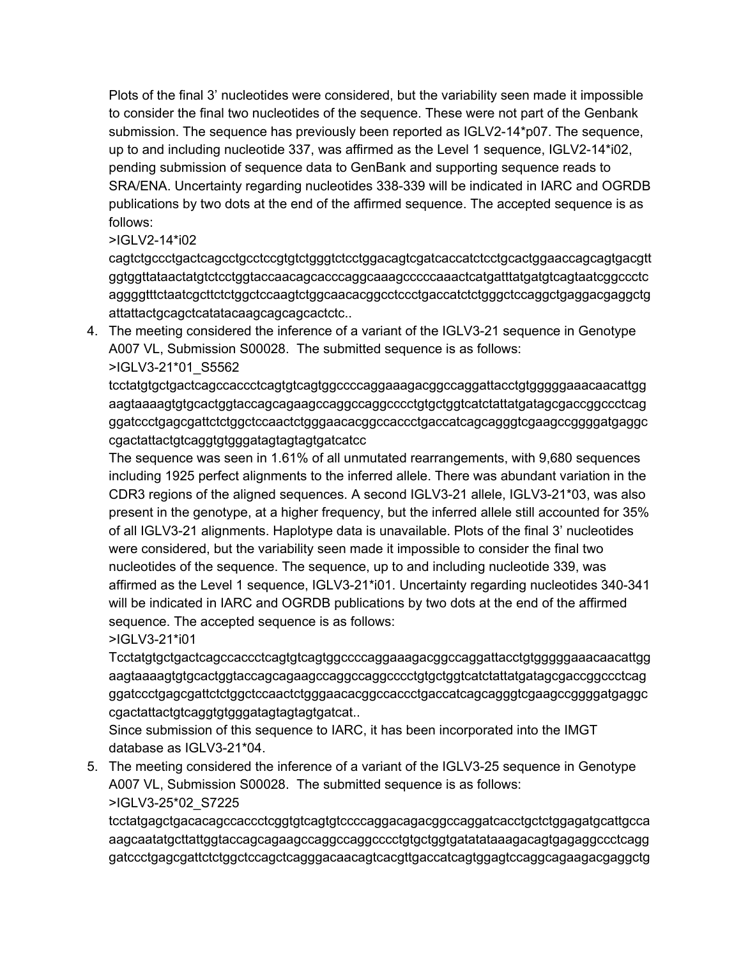Plots of the final 3' nucleotides were considered, but the variability seen made it impossible to consider the final two nucleotides of the sequence. These were not part of the Genbank submission. The sequence has previously been reported as IGLV2-14\*p07. The sequence, up to and including nucleotide 337, was affirmed as the Level 1 sequence, IGLV2-14\*i02, pending submission of sequence data to GenBank and supporting sequence reads to SRA/ENA. Uncertainty regarding nucleotides 338-339 will be indicated in IARC and OGRDB publications by two dots at the end of the affirmed sequence. The accepted sequence is as follows:

## >IGLV2-14\*i02

cagtctgccctgactcagcctgcctccgtgtctgggtctcctggacagtcgatcaccatctcctgcactggaaccagcagtgacgtt ggtggttataactatgtctcctggtaccaacagcacccaggcaaagcccccaaactcatgatttatgatgtcagtaatcggccctc aggggtttctaatcgcttctctggctccaagtctggcaacacggcctccctgaccatctctgggctccaggctgaggacgaggctg attattactgcagctcatatacaagcagcagcactctc..

4. The meeting considered the inference of a variant of the IGLV3-21 sequence in Genotype A007 VL, Submission S00028. The submitted sequence is as follows: >IGLV3-21\*01\_S5562

tcctatgtgctgactcagccaccctcagtgtcagtggccccaggaaagacggccaggattacctgtgggggaaacaacattgg aagtaaaagtgtgcactggtaccagcagaagccaggccaggcccctgtgctggtcatctattatgatagcgaccggccctcag ggatccctgagcgattctctggctccaactctgggaacacggccaccctgaccatcagcagggtcgaagccggggatgaggc cgactattactgtcaggtgtgggatagtagtagtgatcatcc

The sequence was seen in 1.61% of all unmutated rearrangements, with 9,680 sequences including 1925 perfect alignments to the inferred allele. There was abundant variation in the CDR3 regions of the aligned sequences. A second IGLV3-21 allele, IGLV3-21\*03, was also present in the genotype, at a higher frequency, but the inferred allele still accounted for 35% of all IGLV3-21 alignments. Haplotype data is unavailable. Plots of the final 3' nucleotides were considered, but the variability seen made it impossible to consider the final two nucleotides of the sequence. The sequence, up to and including nucleotide 339, was affirmed as the Level 1 sequence, IGLV3-21\*i01. Uncertainty regarding nucleotides 340-341 will be indicated in IARC and OGRDB publications by two dots at the end of the affirmed sequence. The accepted sequence is as follows:

>IGLV3-21\*i01

Tcctatgtgctgactcagccaccctcagtgtcagtggccccaggaaagacggccaggattacctgtgggggaaacaacattgg aagtaaaagtgtgcactggtaccagcagaagccaggccaggcccctgtgctggtcatctattatgatagcgaccggccctcag ggatccctgagcgattctctggctccaactctgggaacacggccaccctgaccatcagcagggtcgaagccggggatgaggc cgactattactgtcaggtgtgggatagtagtagtgatcat..

Since submission of this sequence to IARC, it has been incorporated into the IMGT database as IGLV3-21\*04.

5. The meeting considered the inference of a variant of the IGLV3-25 sequence in Genotype A007 VL, Submission S00028. The submitted sequence is as follows: >IGLV3-25\*02\_S7225

tcctatgagctgacacagccaccctcggtgtcagtgtccccaggacagacggccaggatcacctgctctggagatgcattgcca aagcaatatgcttattggtaccagcagaagccaggccaggcccctgtgctggtgatatataaagacagtgagaggccctcagg gatccctgagcgattctctggctccagctcagggacaacagtcacgttgaccatcagtggagtccaggcagaagacgaggctg